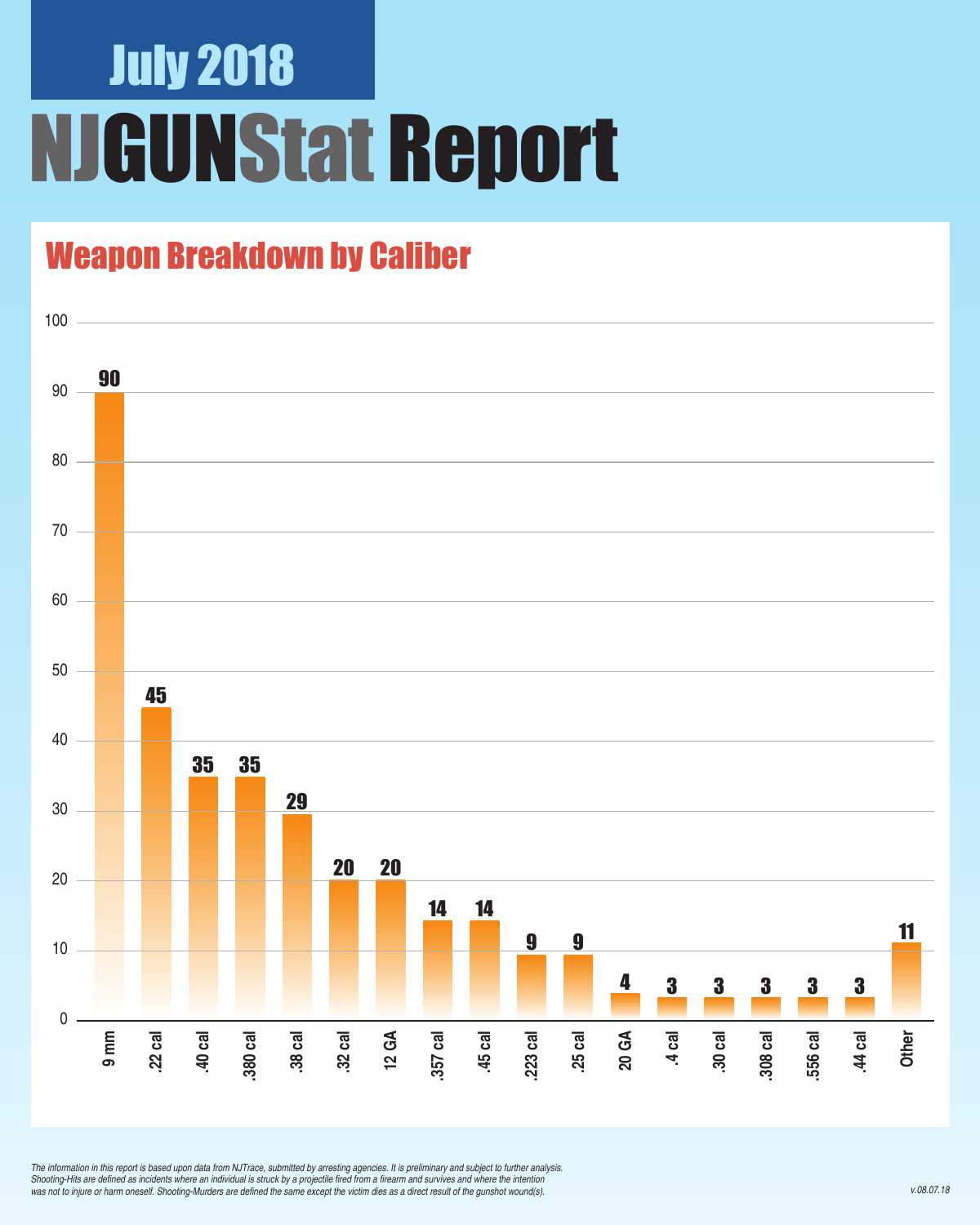## July 2018 NJGUNStat Report

### Weapon Breakdown by Caliber



*The information in this report is based upon data from NJTrace, submitted by arresting agencies. It is preliminary and subject to further analysis.*  Shooting-Hits are defined as incidents where an individual is struck by a projectile fired from a firearm and survives and where the intention was not to injure or harm oneself. Shooting-Murders are defined the same except the victim dies as a direct result of the gunshot wound(s).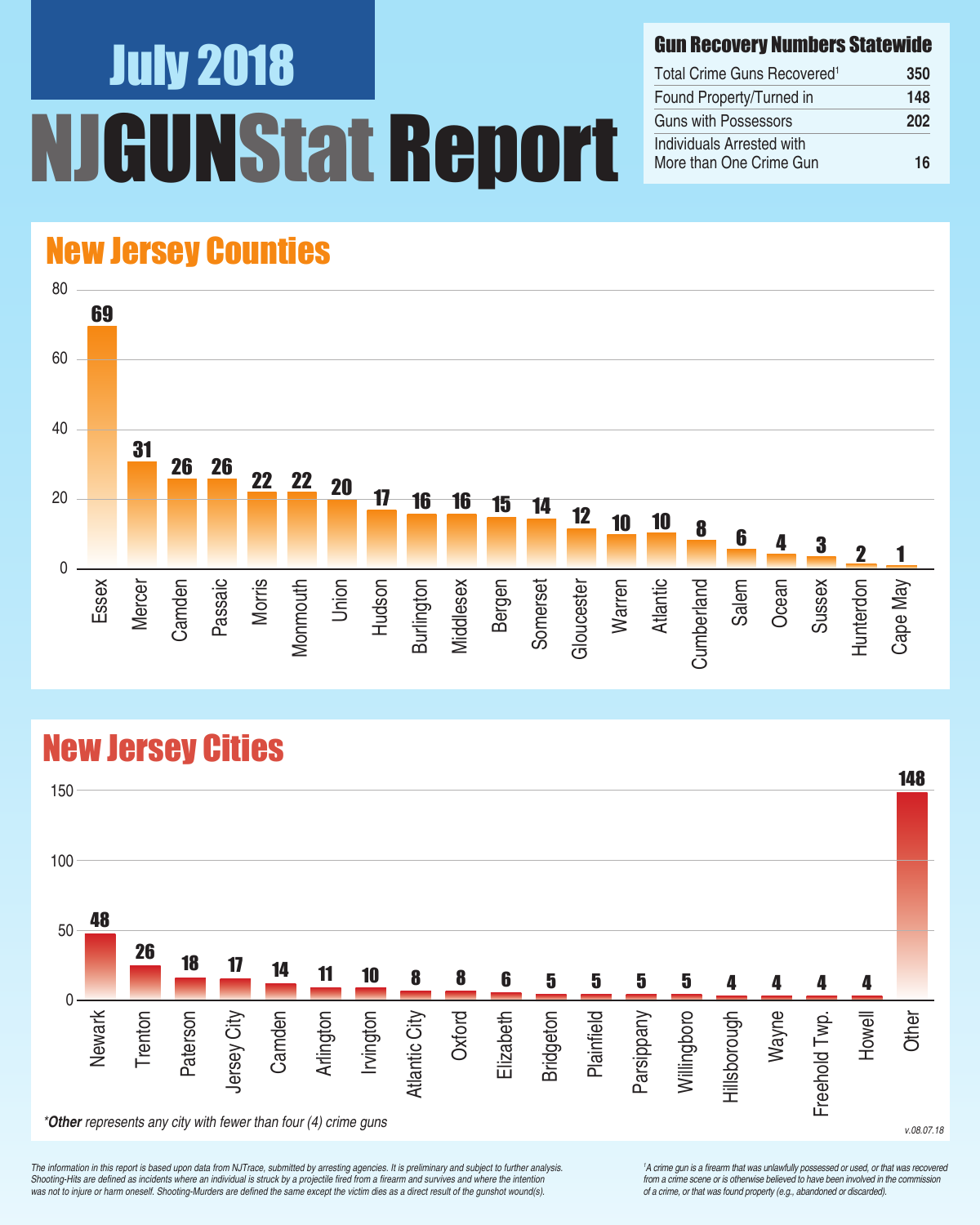# July 2018 UNStat Report

#### Gun Recovery Numbers Statewide

| Total Crime Guns Recovered <sup>1</sup>              | 350 |
|------------------------------------------------------|-----|
| Found Property/Turned in                             | 148 |
| Guns with Possessors                                 | 202 |
| Individuals Arrested with<br>More than One Crime Gun | 16  |

### New Jersey Counties



## New Jersey Cities



*The information in this report is based upon data from NJTrace, submitted by arresting agencies. It is preliminary and subject to further analysis.*  Shooting-Hits are defined as incidents where an individual is struck by a projectile fired from a firearm and survives and where the intention was not to injure or harm oneself. Shooting-Murders are defined the same except the victim dies as a direct result of the gunshot wound(s).

<sup>1</sup>A crime gun is a firearm that was unlawfully possessed or used, or that was recovered from a crime scene or is otherwise believed to have been involved in the commission *of a crime, or that was found property (e.g., abandoned or discarded).*